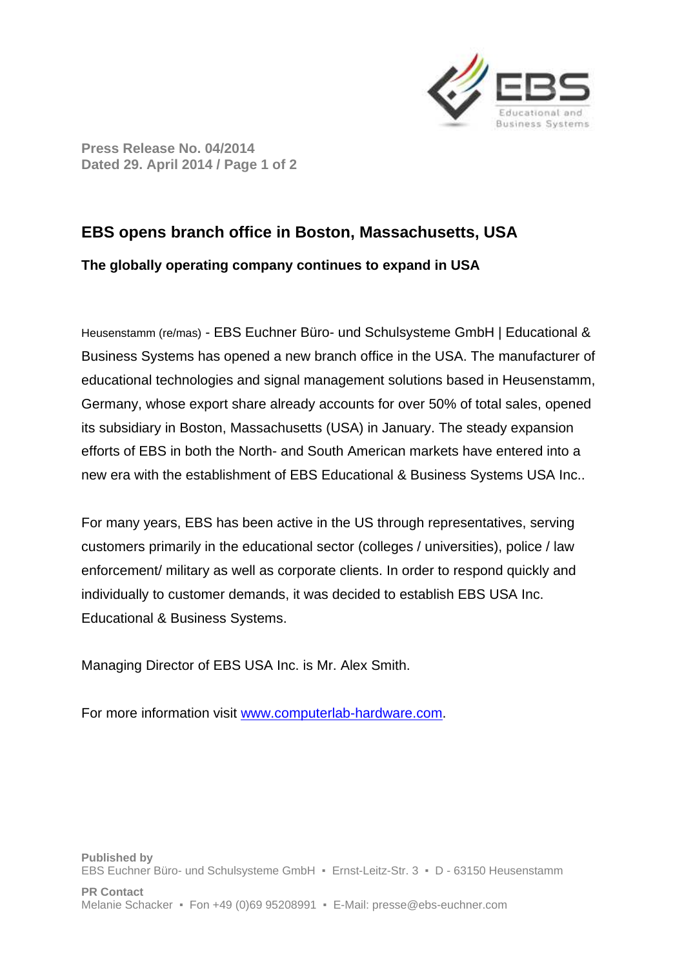

**Press Release No. 04/2014 Dated 29. April 2014 / Page 1 of 2** 

## **EBS opens branch office in Boston, Massachusetts, USA**

## **The globally operating company continues to expand in USA**

Heusenstamm (re/mas) - EBS Euchner Büro- und Schulsysteme GmbH | Educational & Business Systems has opened a new branch office in the USA. The manufacturer of educational technologies and signal management solutions based in Heusenstamm, Germany, whose export share already accounts for over 50% of total sales, opened its subsidiary in Boston, Massachusetts (USA) in January. The steady expansion efforts of EBS in both the North- and South American markets have entered into a new era with the establishment of EBS Educational & Business Systems USA Inc..

For many years, EBS has been active in the US through representatives, serving customers primarily in the educational sector (colleges / universities), police / law enforcement/ military as well as corporate clients. In order to respond quickly and individually to customer demands, it was decided to establish EBS USA Inc. Educational & Business Systems.

Managing Director of EBS USA Inc. is Mr. Alex Smith.

For more information visit www.computerlab-hardware.com.